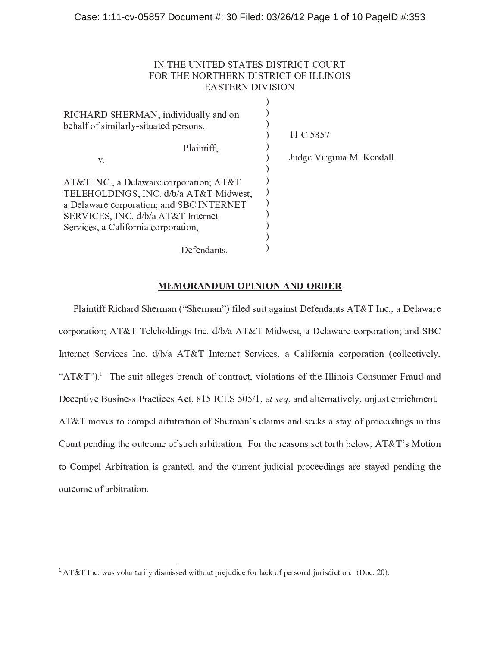# - - - - - - -  - - - -  -

| RICHARD SHERMAN, individually and on<br>behalf of similarly-situated persons,                                                                                                                              | 11 C 5857                 |
|------------------------------------------------------------------------------------------------------------------------------------------------------------------------------------------------------------|---------------------------|
| Plaintiff,<br>V.                                                                                                                                                                                           | Judge Virginia M. Kendall |
| AT&T INC., a Delaware corporation; AT&T<br>TELEHOLDINGS, INC. d/b/a AT&T Midwest,<br>a Delaware corporation; and SBC INTERNET<br>SERVICES, INC. d/b/a AT&T Internet<br>Services, a California corporation, |                           |
| Defendants.                                                                                                                                                                                                |                           |

# 5 <sup>6</sup> <sup>5</sup> <sup>7</sup> <sup>8</sup> <sup>9</sup> : ; <sup>&</sup>lt; <sup>5</sup> <sup>7</sup> <sup>=</sup> <sup>&</sup>gt; : <sup>&</sup>gt; <sup>7</sup> : <sup>9</sup> : ; <sup>7</sup> <sup>8</sup> ; <sup>6</sup> <sup>8</sup>

Plaintiff Richard Sherman ("Sherman") filed suit against Defendants  $AT&T$  Inc., a Delawar corporation:  $AT&T$  Teleholdings Inc.  $d/b/a$   $AT&T$  Midwest, a Delaware corporation: and SB " " ( ( % <sup>+</sup> + - & - " " ( ( # " ? ( ( "  $\overline{a}$  ,  $\overline{a}$  ,  $\overline{a}$  ,  $\overline{a}$  ,  $\overline{a}$  ,  $\overline{a}$  ,  $\overline{a}$  ,  $\overline{a}$  ,  $\overline{a}$  ,  $\overline{a}$  ,  $\overline{a}$  ,  $\overline{a}$  ,  $\overline{a}$  ,  $\overline{a}$  ,  $\overline{a}$  ,  $\overline{a}$  ,  $\overline{a}$  ,  $\overline{a}$  ,  $\overline{a}$  ,  $\overline{a}$  , ( # " , \$ ( " ( ( " <sup>0</sup> . / / <sup>C</sup> / <sup>+</sup> . <sup>D</sup> <sup>E</sup> <sup>F</sup> <sup>D</sup> <sup>G</sup> " " <sup>H</sup> " ( " %  $\overline{\phantom{a}}$  ,  $\overline{\phantom{a}}$  ,  $\overline{\phantom{a}}$  ,  $\overline{\phantom{a}}$  ,  $\overline{\phantom{a}}$  ,  $\overline{\phantom{a}}$  ,  $\overline{\phantom{a}}$  ,  $\overline{\phantom{a}}$  ,  $\overline{\phantom{a}}$  ,  $\overline{\phantom{a}}$  ,  $\overline{\phantom{a}}$  ,  $\overline{\phantom{a}}$  ,  $\overline{\phantom{a}}$  ,  $\overline{\phantom{a}}$  ,  $\overline{\phantom{a}}$  ,  $\overline{\phantom{a}}$ Court pending the outcome of such arbitration. For the reasons set forth below,  $AT&T$ 's Motio " # " " 3 " " ( " <sup>H</sup> ( # ( <sup>3</sup> " # <sup>3</sup> " " ( " " %

 $K$  , we have the sympath of  $\mathcal{M}$  and  $\mathcal{M}$  and  $\mathcal{M}$  and  $\mathcal{M}$  and  $\mathcal{M}$  and  $\mathcal{M}$  and  $\mathcal{M}$  and  $\mathcal{M}$  and  $\mathcal{M}$  and  $\mathcal{M}$  and  $\mathcal{M}$  and  $\mathcal{M}$  and  $\mathcal{M}$  and  $\mathcal{M}$  and  $\mathcal{M}$  a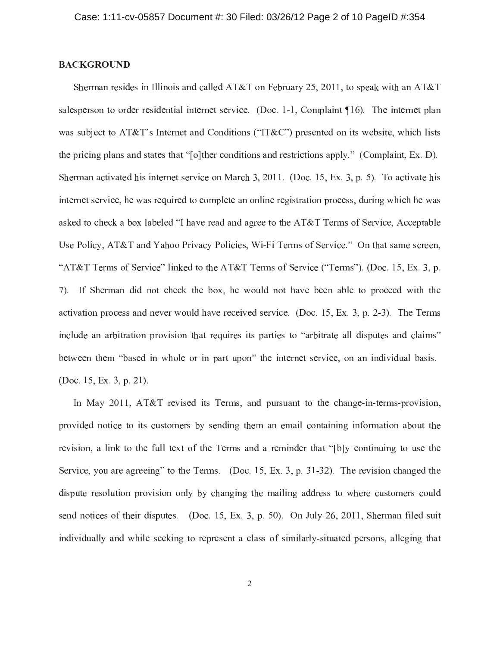# **BACKGROUND**

Sherman resides in Illinois and called AT&T on February 25, 2011, to speak with an AT&T salesperson to order residential internet service. (Doc. 1-1, Complaint 10). The internet plan was subject to AT&T's Internet and Conditions ("IT&C") presented on its website, which lists the pricing plans and states that "[o]ther conditions and restrictions apply." (Complaint, Ex. D). Sherman activated his internet service on March 3, 2011. (Doc. 15, Ex. 3, p. 5). To activate his internet service, he was required to complete an online registration process, during which he was asked to check a box labeled "I have read and agree to the AT&T Terms of Service, Acceptable Use Policy, AT&T and Yahoo Privacy Policies, Wi-Fi Terms of Service." On that same screen, "AT&T Terms of Service" linked to the AT&T Terms of Service ("Terms"). (Doc. 15, Ex. 3, p. 7). If Sherman did not check the box, he would not have been able to proceed with the activation process and never would have received service. (Doc. 15, Ex. 3, p. 2-3). The Terms include an arbitration provision that requires its parties to "arbitrate all disputes and claims" between them "based in whole or in part upon" the internet service, on an individual basis. (Doc. 15, Ex. 3, p. 21).

In May 2011, AT&T revised its Terms, and pursuant to the change-in-terms-provision, provided notice to its customers by sending them an email containing information about the revision, a link to the full text of the Terms and a reminder that "[b]y continuing to use the Service, you are agreeing" to the Terms. (Doc. 15, Ex. 3, p. 31-32). The revision changed the dispute resolution provision only by changing the mailing address to where customers could send notices of their disputes. (Doc. 15, Ex. 3, p. 50). On July 26, 2011, Sherman filed suit individually and while seeking to represent a class of similarly-situated persons, alleging that

 $\overline{2}$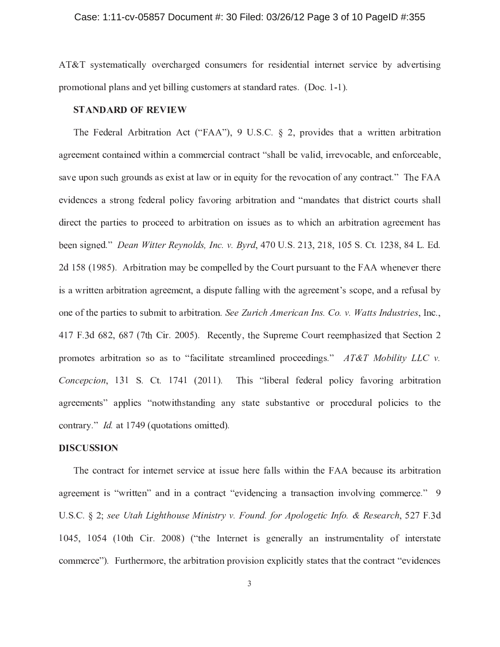### Case: 1:11-cv-05857 Document #: 30 Filed: 03/26/12 Page 3 of 10 PageID #:355

AT&T systematically overcharged consumers for residential internet service by advertising promotional plans and yet billing customers at standard rates. (Doc. 1-1).

# **STANDARD OF REVIEW**

The Federal Arbitration Act ("FAA"), 9 U.S.C.  $\S$  2, provides that a written arbitration agreement contained within a commercial contract "shall be valid, irrevocable, and enforceable, save upon such grounds as exist at law or in equity for the revocation of any contract." The FAA evidences a strong federal policy favoring arbitration and "mandates that district courts shall direct the parties to proceed to arbitration on issues as to which an arbitration agreement has been signed." Dean Witter Reynolds, Inc. v. Byrd, 470 U.S. 213, 218, 105 S. Ct. 1238, 84 L. Ed. 2d 158 (1985). Arbitration may be compelled by the Court pursuant to the FAA whenever there is a written arbitration agreement, a dispute falling with the agreement's scope, and a refusal by one of the parties to submit to arbitration. See Zurich American Ins. Co. v. Watts Industries, Inc., 417 F.3d 682, 687 (7th Cir. 2005). Recently, the Supreme Court reemphasized that Section 2 promotes arbitration so as to "facilitate streamlined proceedings." AT&T Mobility LLC v. Concepcion, 131 S. Ct. 1741 (2011). This "liberal federal policy favoring arbitration agreements" applies "notwithstanding any state substantive or procedural policies to the contrary." *Id.* at 1749 (quotations omitted).

### **DISCUSSION**

The contract for internet service at issue here falls within the FAA because its arbitration agreement is "written" and in a contract "evidencing a transaction involving commerce." 9 U.S.C. § 2; see Utah Lighthouse Ministry v. Found. for Apologetic Info. & Research, 527 F.3d 1045, 1054 (10th Cir. 2008) ("the Internet is generally an instrumentality of interstate commerce"). Furthermore, the arbitration provision explicitly states that the contract "evidences"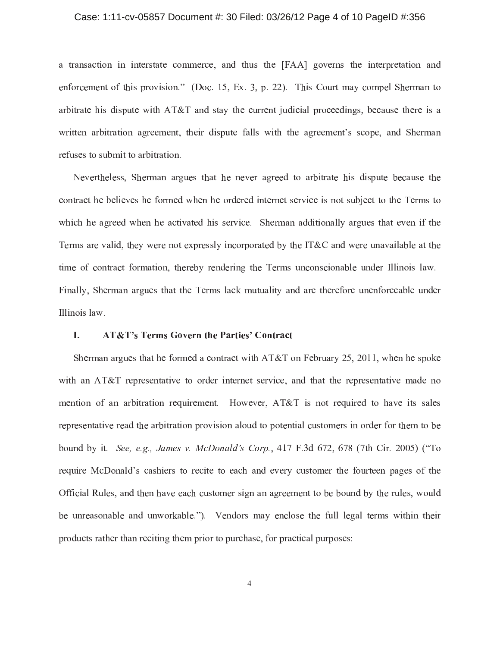#### Case: 1:11-cv-05857 Document #: 30 Filed: 03/26/12 Page 4 of 10 PageID #:356

a transaction in interstate commerce, and thus the [FAA] governs the interpretation and enforcement of this provision." (Doc. 15, Ex. 3, p. 22). This Court may compel Sherman to arbitrate his dispute with AT&T and stay the current judicial proceedings, because there is a written arbitration agreement, their dispute falls with the agreement's scope, and Sherman refuses to submit to arbitration.

Nevertheless, Sherman argues that he never agreed to arbitrate his dispute because the contract he believes he formed when he ordered internet service is not subject to the Terms to which he agreed when he activated his service. Sherman additionally argues that even if the Terms are valid, they were not expressly incorporated by the IT&C and were unavailable at the time of contract formation, thereby rendering the Terms unconscionable under Illinois law. Finally, Sherman argues that the Terms lack mutuality and are therefore unenforceable under Illinois law.

#### I. **AT&T's Terms Govern the Parties' Contract**

Sherman argues that he formed a contract with  $AT&T$  on February 25, 2011, when he spoke with an AT&T representative to order internet service, and that the representative made no mention of an arbitration requirement. However, AT&T is not required to have its sales representative read the arbitration provision aloud to potential customers in order for them to be bound by it. See, e.g., James v. McDonald's Corp., 417 F.3d 672, 678 (7th Cir. 2005) ("To require McDonald's cashiers to recite to each and every customer the fourteen pages of the Official Rules, and then have each customer sign an agreement to be bound by the rules, would be unreasonable and unworkable."). Vendors may enclose the full legal terms within their products rather than reciting them prior to purchase, for practical purposes: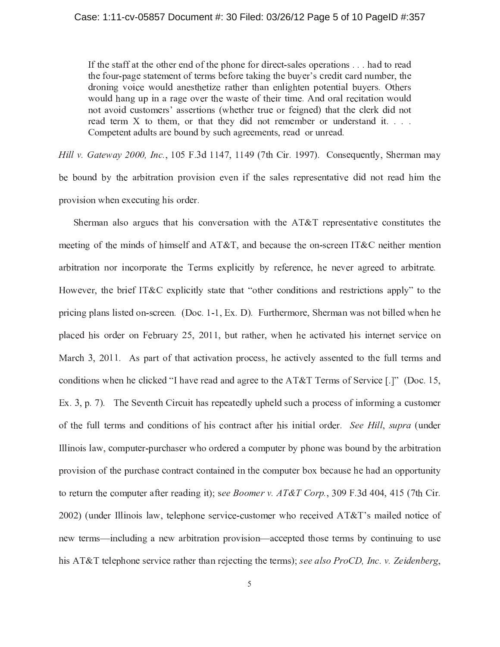#### Case: 1:11-cv-05857 Document #: 30 Filed: 03/26/12 Page 5 of 10 PageID #:357

If the staff at the other end of the phone for direct-sales operations . . . had to read the four-page statement of terms before taking the buyer's credit card number, the droning voice would anesthetize rather than enlighten potential buyers. Others would hang up in a rage over the waste of their time. And oral recitation would not avoid customers' assertions (whether true or feigned) that the clerk did not read term X to them, or that they did not remember or understand it. . . . Competent adults are bound by such agreements, read or unread.

Hill v. Gateway 2000, Inc., 105 F.3d 1147, 1149 (7th Cir. 1997). Consequently, Sherman may be bound by the arbitration provision even if the sales representative did not read him the provision when executing his order.

Sherman also argues that his conversation with the  $AT&T$  representative constitutes the meeting of the minds of himself and AT&T, and because the on-screen IT&C neither mention arbitration nor incorporate the Terms explicitly by reference, he never agreed to arbitrate. However, the brief IT&C explicitly state that "other conditions and restrictions apply" to the pricing plans listed on-screen. (Doc. 1-1, Ex. D). Furthermore, Sherman was not billed when he placed his order on February 25, 2011, but rather, when he activated his internet service on March 3, 2011. As part of that activation process, he actively assented to the full terms and conditions when he clicked "I have read and agree to the AT&T Terms of Service  $[.]$ " (Doc. 15, Ex. 3, p. 7). The Seventh Circuit has repeatedly upheld such a process of informing a customer of the full terms and conditions of his contract after his initial order. See Hill, supra (under Illinois law, computer-purchaser who ordered a computer by phone was bound by the arbitration provision of the purchase contract contained in the computer box because he had an opportunity to return the computer after reading it); see Boomer v.  $AT\&T$  Corp., 309 F.3d 404, 415 (7th Cir. 2002) (under Illinois law, telephone service-customer who received AT&T's mailed notice of new terms—including a new arbitration provision—accepted those terms by continuing to use his AT&T telephone service rather than rejecting the terms); see also ProCD, Inc. v. Zeidenberg,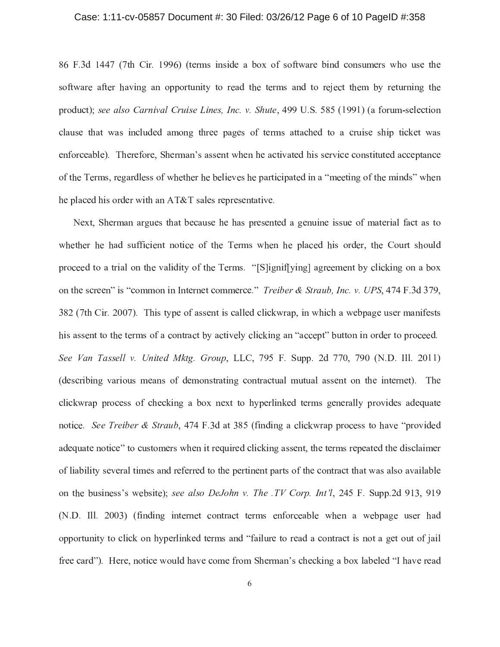#### Case: 1:11-cv-05857 Document #: 30 Filed: 03/26/12 Page 6 of 10 PageID #:358

86 F.3d 1447 (7th Cir. 1996) (terms inside a box of software bind consumers who use the software after having an opportunity to read the terms and to reject them by returning the product); see also Carnival Cruise Lines, Inc. v. Shute, 499 U.S. 585 (1991) (a forum-selection clause that was included among three pages of terms attached to a cruise ship ticket was enforceable). Therefore, Sherman's assent when he activated his service constituted acceptance of the Terms, regardless of whether he believes he participated in a "meeting of the minds" when he placed his order with an AT&T sales representative.

Next, Sherman argues that because he has presented a genuine issue of material fact as to whether he had sufficient notice of the Terms when he placed his order, the Court should proceed to a trial on the validity of the Terms. "[S]ignif[ying] agreement by clicking on a box on the screen" is "common in Internet commerce." *Treiber & Straub, Inc. v. UPS*, 474 F.3d 379, 382 (7th Cir. 2007). This type of assent is called clickwrap, in which a webpage user manifests his assent to the terms of a contract by actively clicking an "accept" button in order to proceed. See Van Tassell v. United Mktg. Group, LLC, 795 F. Supp. 2d 770, 790 (N.D. Ill. 2011) (describing various means of demonstrating contractual mutual assent on the internet). The clickwrap process of checking a box next to hyperlinked terms generally provides adequate notice. See Treiber & Straub, 474 F.3d at 385 (finding a clickwrap process to have "provided adequate notice" to customers when it required clicking assent, the terms repeated the disclaimer of liability several times and referred to the pertinent parts of the contract that was also available on the business's website); see also DeJohn v. The TV Corp. Int'l, 245 F. Supp.2d 913, 919 (N.D. Ill. 2003) (finding internet contract terms enforceable when a webpage user had opportunity to click on hyperlinked terms and "failure to read a contract is not a get out of jail free card"). Here, notice would have come from Sherman's checking a box labeled "I have read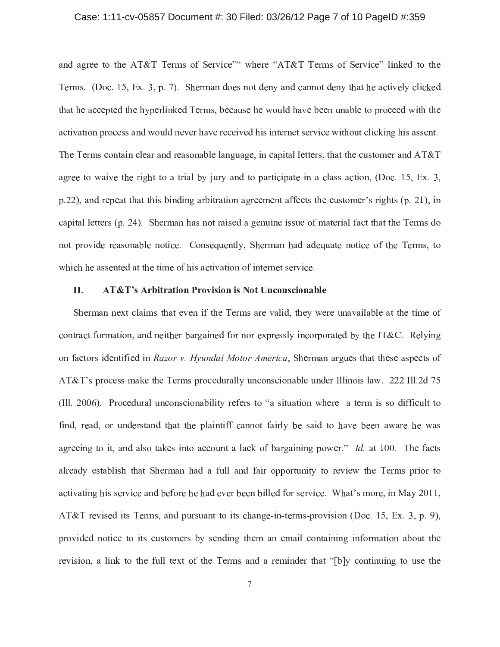# Case: 1:11-cv-05857 Document #: 30 Filed: 03/26/12 Page 7 of 10 PageID #:359

and agree to the AT&T Terms of Service"" where "AT&T Terms of Service" linked to the Terms. (Doc. 15, Ex. 3, p. 7). Sherman does not deny and cannot deny that he actively clicked that he accepted the hyperlinked Terms, because he would have been unable to proceed with the activation process and would never have received his internet service without clicking his assent. The Terms contain clear and reasonable language, in capital letters, that the customer and  $AT&T$ agree to waive the right to a trial by jury and to participate in a class action, (Doc. 15, Ex. 3,  $p.22$ ), and repeat that this binding arbitration agreement affects the customer's rights (p. 21), in capital letters (p. 24). Sherman has not raised a genuine issue of material fact that the Terms do not provide reasonable notice. Consequently, Sherman had adequate notice of the Terms, to which he assented at the time of his activation of internet service.

#### II. **AT&T's Arbitration Provision is Not Unconscionable**

Sherman next claims that even if the Terms are valid, they were unavailable at the time of contract formation, and neither bargained for nor expressly incorporated by the IT&C. Relying on factors identified in Razor v. Hyundai Motor America, Sherman argues that these aspects of AT&T's process make the Terms procedurally unconscionable under Illinois law. 222 Ill.2d 75 (Ill. 2006). Procedural unconscionability refers to "a situation where a term is so difficult to find, read, or understand that the plaintiff cannot fairly be said to have been aware he was agreeing to it, and also takes into account a lack of bargaining power." Id. at 100. The facts already establish that Sherman had a full and fair opportunity to review the Terms prior to activating his service and before he had ever been billed for service. What's more, in May 2011, AT&T revised its Terms, and pursuant to its change-in-terms-provision (Doc. 15, Ex. 3, p. 9), provided notice to its customers by sending them an email containing information about the revision, a link to the full text of the Terms and a reminder that "[b]y continuing to use the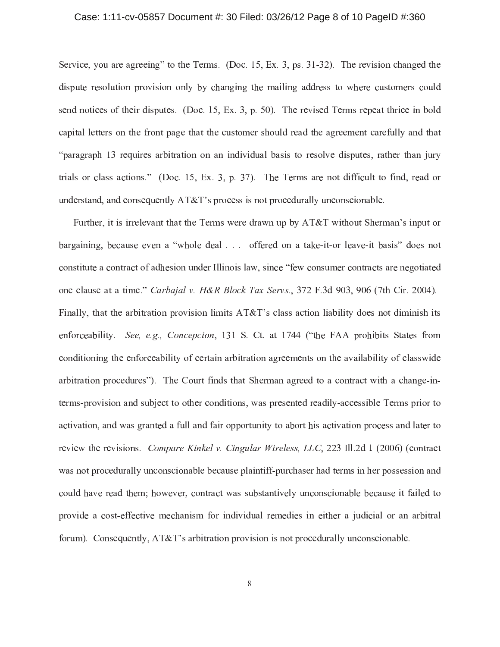#### Case: 1:11-cv-05857 Document #: 30 Filed: 03/26/12 Page 8 of 10 PageID #:360

Service, you are agreeing" to the Terms. (Doc. 15, Ex. 3, ps. 31-32). The revision changed the dispute resolution provision only by changing the mailing address to where customers could send notices of their disputes. (Doc. 15, Ex. 3, p. 50). The revised Terms repeat thrice in bold capital letters on the front page that the customer should read the agreement carefully and that "paragraph 13 requires arbitration on an individual basis to resolve disputes, rather than jury trials or class actions." (Doc. 15, Ex. 3, p. 37). The Terms are not difficult to find, read or understand, and consequently AT&T's process is not procedurally unconscionable.

Further, it is irrelevant that the Terms were drawn up by AT&T without Sherman's input or bargaining, because even a "whole deal . . . offered on a take-it-or leave-it basis" does not constitute a contract of adhesion under Illinois law, since "few consumer contracts are negotiated one clause at a time." Carbajal v. H&R Block Tax Servs., 372 F.3d 903, 906 (7th Cir. 2004). Finally, that the arbitration provision limits  $AT&T$ 's class action liability does not diminish its enforceability. See, e.g., Concepcion, 131 S. Ct. at 1744 ("the FAA prohibits States from conditioning the enforceability of certain arbitration agreements on the availability of classwide arbitration procedures"). The Court finds that Sherman agreed to a contract with a change-interms-provision and subject to other conditions, was presented readily-accessible Terms prior to activation, and was granted a full and fair opportunity to abort his activation process and later to review the revisions. *Compare Kinkel v. Cingular Wireless, LLC*, 223 Ill.2d 1 (2006) (contract was not procedurally unconscionable because plaintiff-purchaser had terms in her possession and could have read them; however, contract was substantively unconscionable because it failed to provide a cost-effective mechanism for individual remedies in either a judicial or an arbitral forum). Consequently, AT&T's arbitration provision is not procedurally unconscionable.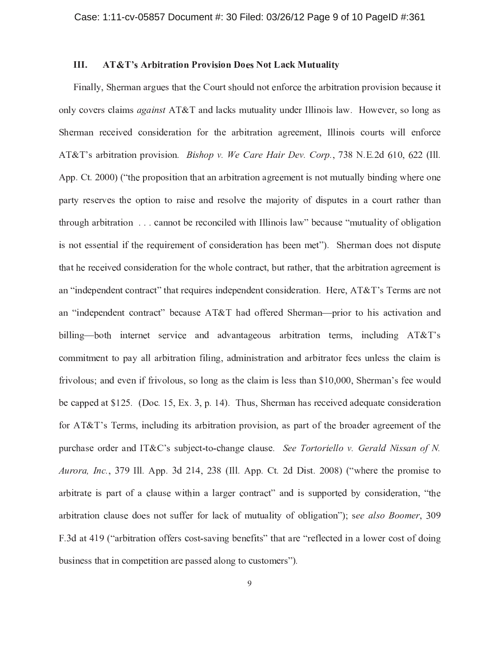#### III. **AT&T's Arbitration Provision Does Not Lack Mutuality**

Finally, Sherman argues that the Court should not enforce the arbitration provision because it only covers claims *against* AT&T and lacks mutuality under Illinois law. However, so long as Sherman received consideration for the arbitration agreement, Illinois courts will enforce AT&T's arbitration provision. *Bishop v. We Care Hair Dev. Corp.*, 738 N.E.2d 610, 622 (Ill. App. Ct. 2000) ("the proposition that an arbitration agreement is not mutually binding where one party reserves the option to raise and resolve the majority of disputes in a court rather than through arbitration . . . cannot be reconciled with Illinois law" because "mutuality of obligation is not essential if the requirement of consideration has been met"). Sherman does not dispute that he received consideration for the whole contract, but rather, that the arbitration agreement is an "independent contract" that requires independent consideration. Here, AT&T's Terms are not an "independent contract" because AT&T had offered Sherman—prior to his activation and billing—both internet service and advantageous arbitration terms, including AT&T's commitment to pay all arbitration filing, administration and arbitrator fees unless the claim is frivolous; and even if frivolous, so long as the claim is less than \$10,000, Sherman's fee would be capped at \$125. (Doc. 15, Ex. 3, p. 14). Thus, Sherman has received adequate consideration for AT&T's Terms, including its arbitration provision, as part of the broader agreement of the purchase order and IT&C's subject-to-change clause. See Tortoriello v. Gerald Nissan of N. Aurora, Inc., 379 Ill. App. 3d 214, 238 (Ill. App. Ct. 2d Dist. 2008) ("where the promise to arbitrate is part of a clause within a larger contract" and is supported by consideration, "the arbitration clause does not suffer for lack of mutuality of obligation"); see also Boomer, 309 F.3d at 419 ("arbitration offers cost-saving benefits" that are "reflected in a lower cost of doing business that in competition are passed along to customers").